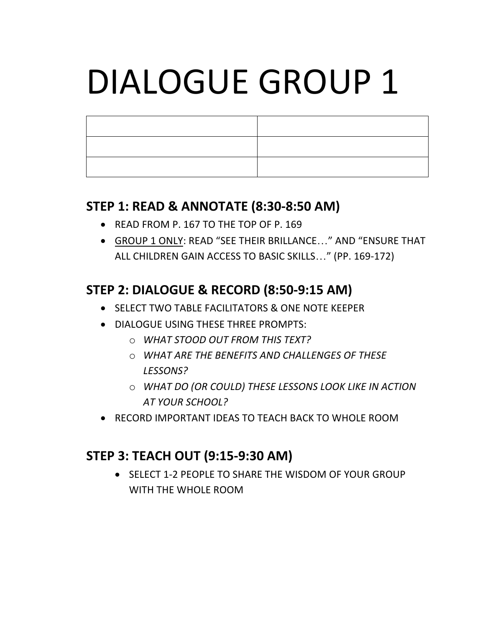### **STEP 1: READ & ANNOTATE (8:30-8:50 AM)**

- READ FROM P. 167 TO THE TOP OF P. 169
- GROUP 1 ONLY: READ "SEE THEIR BRILLANCE..." AND "ENSURE THAT ALL CHILDREN GAIN ACCESS TO BASIC SKILLS..." (PP. 169-172)

## **STEP 2: DIALOGUE & RECORD (8:50-9:15 AM)**

- SELECT TWO TABLE FACILITATORS & ONE NOTE KEEPER
- DIALOGUE USING THESE THREE PROMPTS:
	- o *WHAT STOOD OUT FROM THIS TEXT?*
	- o *WHAT ARE THE BENEFITS AND CHALLENGES OF THESE LESSONS?*
	- $\circ$  **WHAT DO (OR COULD) THESE LESSONS LOOK LIKE IN ACTION** *AT YOUR SCHOOL?*
- RECORD IMPORTANT IDEAS TO TEACH BACK TO WHOLE ROOM

### **STEP 3: TEACH OUT (9:15-9:30 AM)**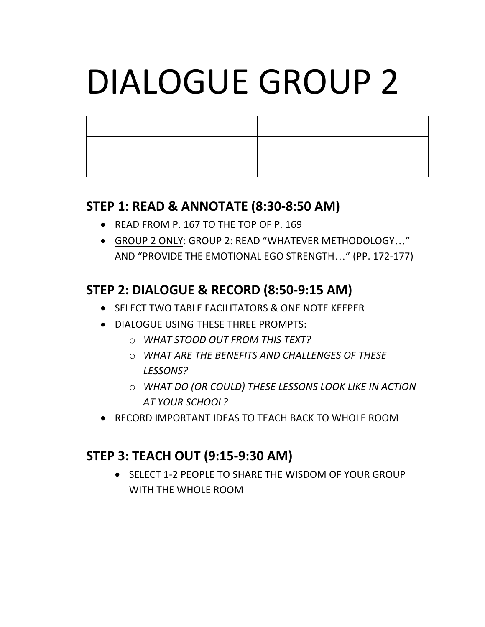### **STEP 1: READ & ANNOTATE (8:30-8:50 AM)**

- READ FROM P. 167 TO THE TOP OF P. 169
- GROUP 2 ONLY: GROUP 2: READ "WHATEVER METHODOLOGY..." AND "PROVIDE THE EMOTIONAL EGO STRENGTH..." (PP. 172-177)

## **STEP 2: DIALOGUE & RECORD (8:50-9:15 AM)**

- SELECT TWO TABLE FACILITATORS & ONE NOTE KEEPER
- DIALOGUE USING THESE THREE PROMPTS:
	- o *WHAT STOOD OUT FROM THIS TEXT?*
	- o *WHAT ARE THE BENEFITS AND CHALLENGES OF THESE LESSONS?*
	- $\circ$  **WHAT DO (OR COULD) THESE LESSONS LOOK LIKE IN ACTION** *AT YOUR SCHOOL?*
- RECORD IMPORTANT IDEAS TO TEACH BACK TO WHOLE ROOM

## **STEP 3: TEACH OUT (9:15-9:30 AM)**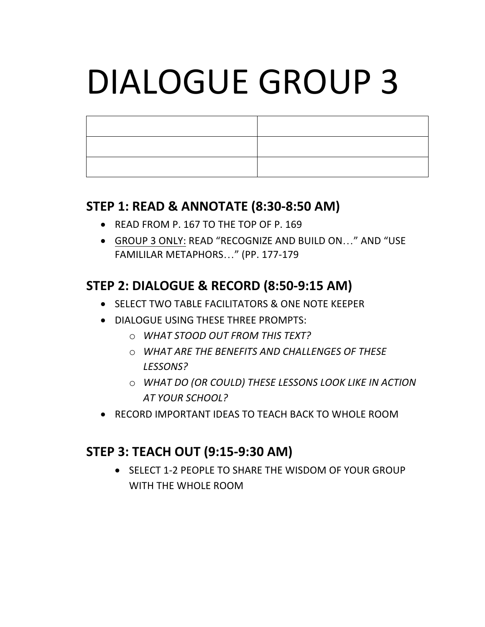#### **STEP 1: READ & ANNOTATE (8:30-8:50 AM)**

- READ FROM P. 167 TO THE TOP OF P. 169
- GROUP 3 ONLY: READ "RECOGNIZE AND BUILD ON..." AND "USE FAMILILAR METAPHORS..." (PP. 177-179

## **STEP 2: DIALOGUE & RECORD (8:50-9:15 AM)**

- SELECT TWO TABLE FACILITATORS & ONE NOTE KEEPER
- DIALOGUE USING THESE THREE PROMPTS:
	- o *WHAT STOOD OUT FROM THIS TEXT?*
	- o *WHAT ARE THE BENEFITS AND CHALLENGES OF THESE LESSONS?*
	- $\circ$  **WHAT DO (OR COULD) THESE LESSONS LOOK LIKE IN ACTION** *AT YOUR SCHOOL?*
- RECORD IMPORTANT IDEAS TO TEACH BACK TO WHOLE ROOM

### **STEP 3: TEACH OUT (9:15-9:30 AM)**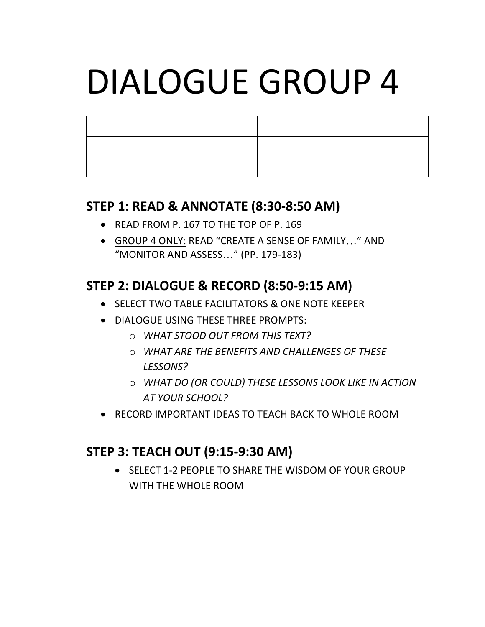### **STEP 1: READ & ANNOTATE (8:30-8:50 AM)**

- READ FROM P. 167 TO THE TOP OF P. 169
- GROUP 4 ONLY: READ "CREATE A SENSE OF FAMILY..." AND "MONITOR AND ASSESS..." (PP. 179-183)

## **STEP 2: DIALOGUE & RECORD (8:50-9:15 AM)**

- SELECT TWO TABLE FACILITATORS & ONE NOTE KEEPER
- DIALOGUE USING THESE THREE PROMPTS:
	- o *WHAT STOOD OUT FROM THIS TEXT?*
	- o *WHAT ARE THE BENEFITS AND CHALLENGES OF THESE LESSONS?*
	- $\circ$  **WHAT DO (OR COULD) THESE LESSONS LOOK LIKE IN ACTION** *AT YOUR SCHOOL?*
- RECORD IMPORTANT IDEAS TO TEACH BACK TO WHOLE ROOM

## **STEP 3: TEACH OUT (9:15-9:30 AM)**